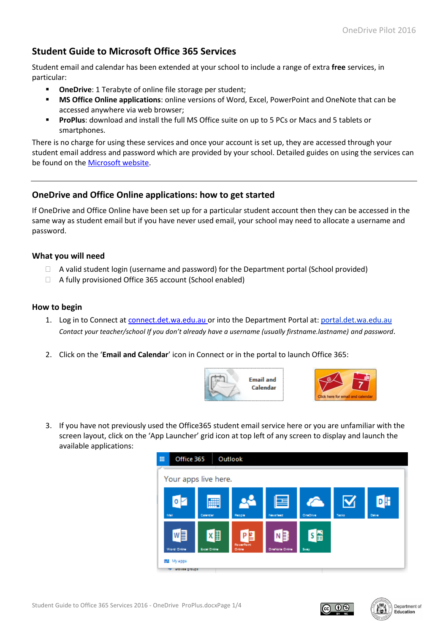# **Student Guide to Microsoft Office 365 Services**

Student email and calendar has been extended at your school to include a range of extra **free** services, in particular:

- **OneDrive**: 1 Terabyte of online file storage per student;
- **MS Office Online applications**: online versions of Word, Excel, PowerPoint and OneNote that can be accessed anywhere via web browser;
- **ProPlus**: download and install the full MS Office suite on up to 5 PCs or Macs and 5 tablets or smartphones.

There is no charge for using these services and once your account is set up, they are accessed through your student email address and password which are provided by your school. Detailed guides on using the services can be found on the [Microsoft website.](https://support.office.com/en-us/article/Learn-your-way-around-Office-365-9b7306d3-8d61-4794-bb6f-6520f65956d9)

## **OneDrive and Office Online applications: how to get started**

If OneDrive and Office Online have been set up for a particular student account then they can be accessed in the same way as student email but if you have never used email, your school may need to allocate a username and password.

## **What you will need**

- $\Box$  A valid student login (username and password) for the Department portal (School provided)
- $\Box$  A fully provisioned Office 365 account (School enabled)

#### **How to begin**

- 1. Log in to Connect at [connect.det.wa.edu.au](http://connect.det.wa.edu.au/) or into the Department Portal at: [portal.det.wa.edu.au](http://portal.det.wa.edu.au/) *Contact your teacher/school If you don't already have a username (usually firstname.lastname) and password*.
- 2. Click on the '**Email and Calendar**' icon in Connect or in the portal to launch Office 365:





3. If you have not previously used the Office365 student email service here or you are unfamiliar with the screen layout, click on the 'App Launcher' grid icon at top left of any screen to display and launch the available applications:





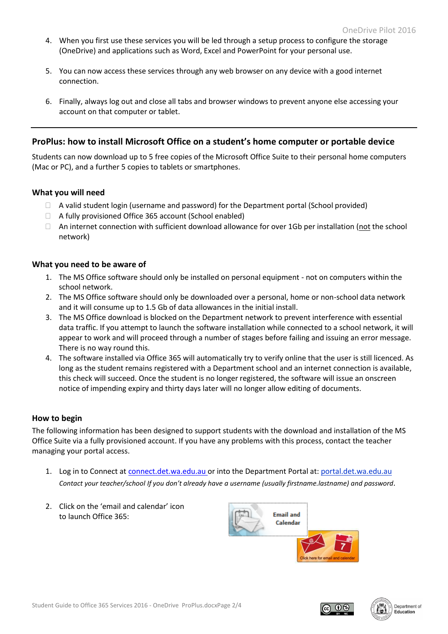- 4. When you first use these services you will be led through a setup process to configure the storage (OneDrive) and applications such as Word, Excel and PowerPoint for your personal use.
- 5. You can now access these services through any web browser on any device with a good internet connection.
- 6. Finally, always log out and close all tabs and browser windows to prevent anyone else accessing your account on that computer or tablet.

## **ProPlus: how to install Microsoft Office on a student's home computer or portable device**

Students can now download up to 5 free copies of the Microsoft Office Suite to their personal home computers (Mac or PC), and a further 5 copies to tablets or smartphones.

#### **What you will need**

- A valid student login (username and password) for the Department portal (School provided)
- A fully provisioned Office 365 account (School enabled)
- $\Box$  An internet connection with sufficient download allowance for over 1Gb per installation (not the school network)

#### **What you need to be aware of**

- 1. The MS Office software should only be installed on personal equipment not on computers within the school network.
- 2. The MS Office software should only be downloaded over a personal, home or non-school data network and it will consume up to 1.5 Gb of data allowances in the initial install.
- 3. The MS Office download is blocked on the Department network to prevent interference with essential data traffic. If you attempt to launch the software installation while connected to a school network, it will appear to work and will proceed through a number of stages before failing and issuing an error message. There is no way round this.
- 4. The software installed via Office 365 will automatically try to verify online that the user is still licenced. As long as the student remains registered with a Department school and an internet connection is available, this check will succeed. Once the student is no longer registered, the software will issue an onscreen notice of impending expiry and thirty days later will no longer allow editing of documents.

## **How to begin**

The following information has been designed to support students with the download and installation of the MS Office Suite via a fully provisioned account. If you have any problems with this process, contact the teacher managing your portal access.

- 1. Log in to Connect at [connect.det.wa.edu.au](http://connect.det.wa.edu.au/) or into the Department Portal at[: portal.det.wa.edu.au](http://portal.det.wa.edu.au/) *Contact your teacher/school If you don't already have a username (usually firstname.lastname) and password*.
- 2. Click on the 'email and calendar' icon to launch Office 365:





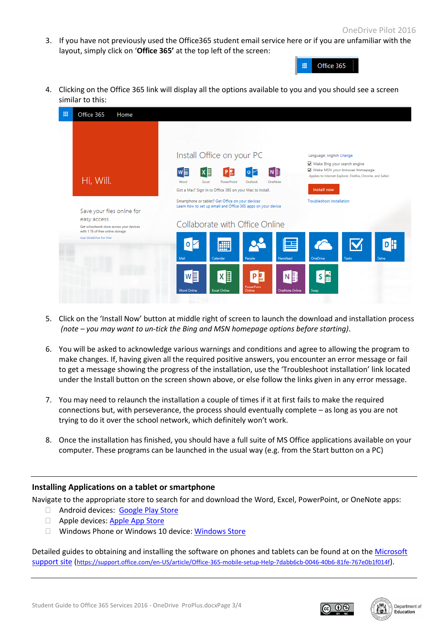3. If you have not previously used the Office365 student email service here or if you are unfamiliar with the layout, simply click on '**Office 365'** at the top left of the screen:



4. Clicking on the Office 365 link will display all the options available to you and you should see a screen similar to this:



- 5. Click on the 'Install Now' button at middle right of screen to launch the download and installation process *(note – you may want to un-tick the Bing and MSN homepage options before starting)*.
- 6. You will be asked to acknowledge various warnings and conditions and agree to allowing the program to make changes. If, having given all the required positive answers, you encounter an error message or fail to get a message showing the progress of the installation, use the 'Troubleshoot installation' link located under the Install button on the screen shown above, or else follow the links given in any error message.
- 7. You may need to relaunch the installation a couple of times if it at first fails to make the required connections but, with perseverance, the process should eventually complete – as long as you are not trying to do it over the school network, which definitely won't work.
- 8. Once the installation has finished, you should have a full suite of MS Office applications available on your computer. These programs can be launched in the usual way (e.g. from the Start button on a PC)

## **Installing Applications on a tablet or smartphone**

Navigate to the appropriate store to search for and download the Word, Excel, PowerPoint, or OneNote apps:

- □ Android devices: [Google Play Store](https://play.google.com/store/apps/details?id=com.microsoft.office.word)
- **Apple devices[: Apple App Store](https://itunes.apple.com/app/id586447913)**
- □ Windows Phone or Windows 10 device: [Windows Store](https://www.microsoft.com/store/apps/9WZDNCRFJB9S)

Detailed guides to obtaining and installing the software on phones and tablets can be found at on the [Microsoft](https://support.office.com/en-US/article/Office-365-mobile-setup-Help-7dabb6cb-0046-40b6-81fe-767e0b1f014f)  [support site](https://support.office.com/en-US/article/Office-365-mobile-setup-Help-7dabb6cb-0046-40b6-81fe-767e0b1f014f) (<https://support.office.com/en-US/article/Office-365-mobile-setup-Help-7dabb6cb-0046-40b6-81fe-767e0b1f014f>).